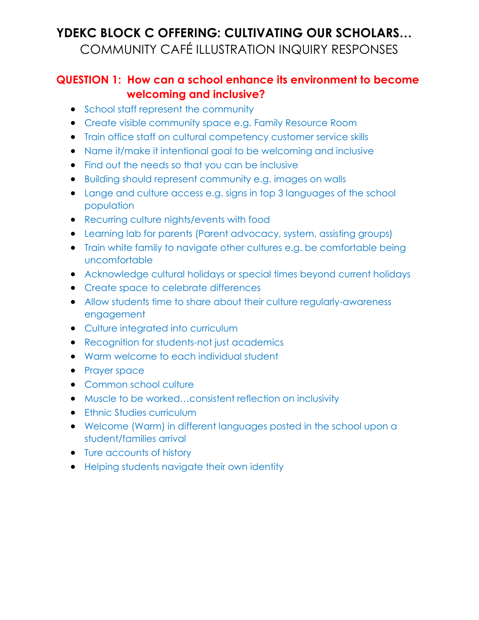#### **QUESTION 1: How can a school enhance its environment to become welcoming and inclusive?**

- School staff represent the community
- Create visible community space e.g. Family Resource Room
- Train office staff on cultural competency customer service skills
- Name it/make it intentional goal to be welcoming and inclusive
- Find out the needs so that you can be inclusive
- Building should represent community e.g. images on walls
- Lange and culture access e.g. signs in top 3 languages of the school population
- Recurring culture nights/events with food
- Learning lab for parents (Parent advocacy, system, assisting groups)
- Train white family to navigate other cultures e.g. be comfortable being uncomfortable
- Acknowledge cultural holidays or special times beyond current holidays
- Create space to celebrate differences
- Allow students time to share about their culture regularly-awareness engagement
- Culture integrated into curriculum
- Recognition for students-not just academics
- Warm welcome to each individual student
- Prayer space
- Common school culture
- Muscle to be worked...consistent reflection on inclusivity
- **•** Ethnic Studies curriculum
- Welcome (Warm) in different languages posted in the school upon a student/families arrival
- Ture accounts of history
- **•** Helping students navigate their own identity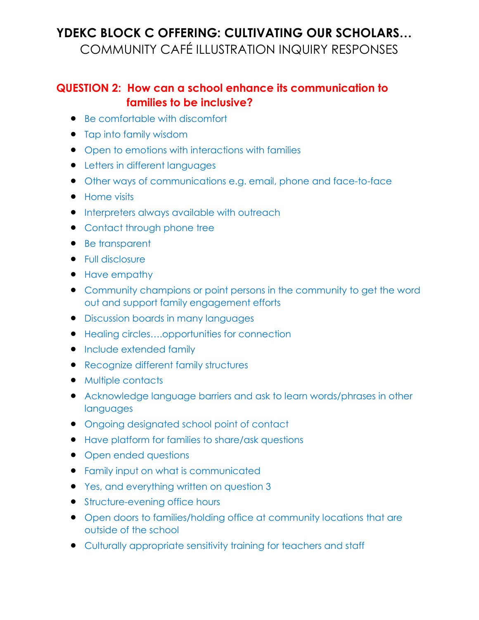#### **QUESTION 2: How can a school enhance its communication to families to be inclusive?**

- Be comfortable with discomfort
- Tap into family wisdom
- Open to emotions with interactions with families
- **•** Letters in different languages
- Other ways of communications e.g. email, phone and face-to-face
- Home visits
- **•** Interpreters always available with outreach
- Contact through phone tree
- Be transparent
- Full disclosure
- Have empathy
- Community champions or point persons in the community to get the word out and support family engagement efforts
- **•** Discussion boards in many languages
- Healing circles....opportunities for connection
- **•** Include extended family
- Recognize different family structures
- Multiple contacts
- Acknowledge language barriers and ask to learn words/phrases in other languages
- Ongoing designated school point of contact
- Have platform for families to share/ask questions
- Open ended questions
- **•** Family input on what is communicated
- Yes, and everything written on question 3
- **•** Structure-evening office hours
- Open doors to families/holding office at community locations that are outside of the school
- Culturally appropriate sensitivity training for teachers and staff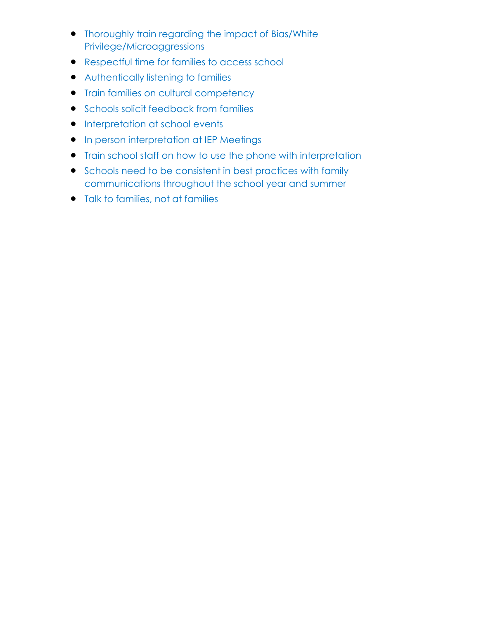- Thoroughly train regarding the impact of Bias/White Privilege/Microaggressions
- Respectful time for families to access school
- Authentically listening to families
- **•** Train families on cultural competency
- **•** Schools solicit feedback from families
- **•** Interpretation at school events
- **•** In person interpretation at IEP Meetings
- Train school staff on how to use the phone with interpretation
- Schools need to be consistent in best practices with family communications throughout the school year and summer
- Talk to families, not at families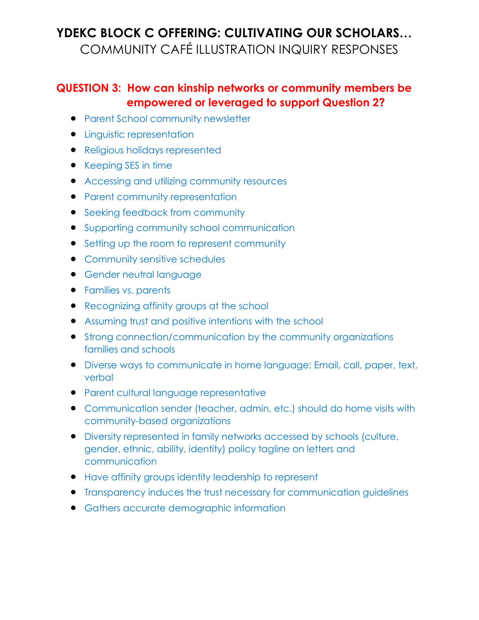#### **QUESTION 3: How can kinship networks or community members be empowered or leveraged to support Question 2?**

- **Parent School community newsletter**
- **•** Linguistic representation
- Religious holidays represented
- Keeping SES in time
- Accessing and utilizing community resources
- Parent community representation
- Seeking feedback from community
- Supporting community school communication
- Setting up the room to represent community
- **•** Community sensitive schedules
- **Gender neutral language**
- **•** Families vs. parents
- Recognizing affinity groups at the school
- Assuming trust and positive intentions with the school
- Strong connection/communication by the community organizations families and schools
- Diverse ways to communicate in home language: Email, call, paper, text, verbal
- Parent cultural language representative
- Communication sender (teacher, admin, etc.) should do home visits with community-based organizations
- Diversity represented in family networks accessed by schools (culture, gender, ethnic, ability, identity) policy tagline on letters and communication
- Have affinity groups identity leadership to represent
- **•** Transparency induces the trust necessary for communication guidelines
- Gathers accurate demographic information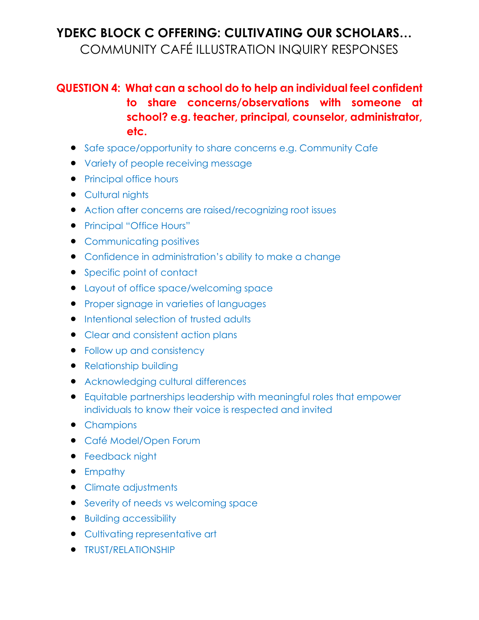### **QUESTION 4: What can a school do to help an individual feel confident to share concerns/observations with someone at school? e.g. teacher, principal, counselor, administrator, etc.**

- Safe space/opportunity to share concerns e.g. Community Cafe
- Variety of people receiving message
- Principal office hours
- Cultural nights
- Action after concerns are raised/recognizing root issues
- Principal "Office Hours"
- Communicating positives
- Confidence in administration's ability to make a change
- Specific point of contact
- Layout of office space/welcoming space
- **•** Proper signage in varieties of languages
- **•** Intentional selection of trusted adults
- Clear and consistent action plans
- Follow up and consistency
- Relationship building
- Acknowledging cultural differences
- Equitable partnerships leadership with meaningful roles that empower individuals to know their voice is respected and invited
- Champions
- Café Model/Open Forum
- **•** Feedback night
- Empathy
- Climate adjustments
- Severity of needs vs welcoming space
- Building accessibility
- Cultivating representative art
- **TRUST/RELATIONSHIP**